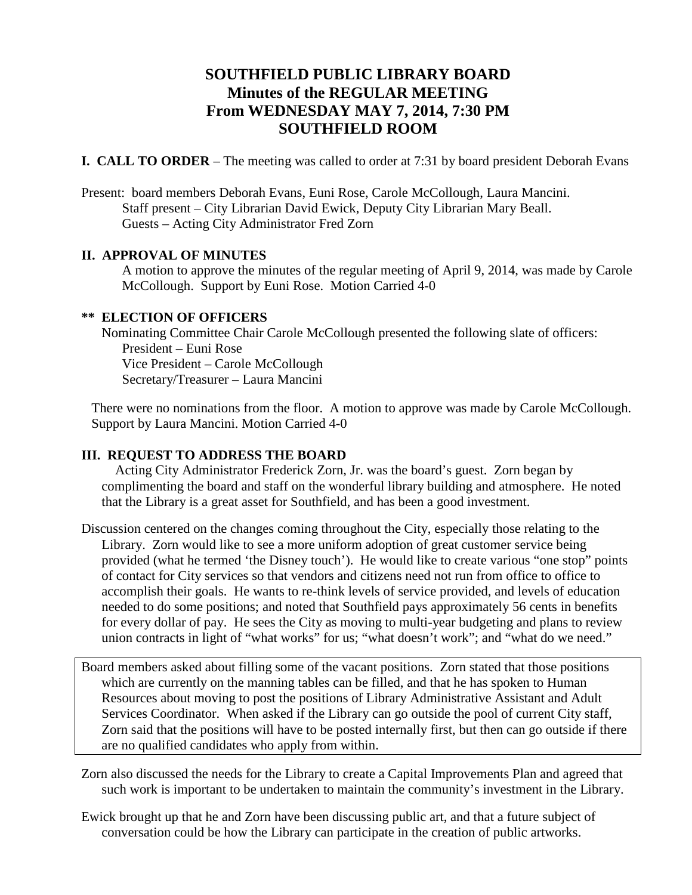# **SOUTHFIELD PUBLIC LIBRARY BOARD Minutes of the REGULAR MEETING From WEDNESDAY MAY 7, 2014, 7:30 PM SOUTHFIELD ROOM**

**I. CALL TO ORDER** – The meeting was called to order at 7:31 by board president Deborah Evans

Present: board members Deborah Evans, Euni Rose, Carole McCollough, Laura Mancini. Staff present – City Librarian David Ewick, Deputy City Librarian Mary Beall. Guests – Acting City Administrator Fred Zorn

## **II. APPROVAL OF MINUTES**

A motion to approve the minutes of the regular meeting of April 9, 2014, was made by Carole McCollough. Support by Euni Rose. Motion Carried 4-0

## **\*\* ELECTION OF OFFICERS**

Nominating Committee Chair Carole McCollough presented the following slate of officers: President – Euni Rose Vice President – Carole McCollough Secretary/Treasurer – Laura Mancini

There were no nominations from the floor. A motion to approve was made by Carole McCollough. Support by Laura Mancini. Motion Carried 4-0

# **III. REQUEST TO ADDRESS THE BOARD**

 Acting City Administrator Frederick Zorn, Jr. was the board's guest. Zorn began by complimenting the board and staff on the wonderful library building and atmosphere. He noted that the Library is a great asset for Southfield, and has been a good investment.

Discussion centered on the changes coming throughout the City, especially those relating to the Library. Zorn would like to see a more uniform adoption of great customer service being provided (what he termed 'the Disney touch'). He would like to create various "one stop" points of contact for City services so that vendors and citizens need not run from office to office to accomplish their goals. He wants to re-think levels of service provided, and levels of education needed to do some positions; and noted that Southfield pays approximately 56 cents in benefits for every dollar of pay. He sees the City as moving to multi-year budgeting and plans to review union contracts in light of "what works" for us; "what doesn't work"; and "what do we need."

Board members asked about filling some of the vacant positions. Zorn stated that those positions which are currently on the manning tables can be filled, and that he has spoken to Human Resources about moving to post the positions of Library Administrative Assistant and Adult Services Coordinator. When asked if the Library can go outside the pool of current City staff, Zorn said that the positions will have to be posted internally first, but then can go outside if there are no qualified candidates who apply from within.

Zorn also discussed the needs for the Library to create a Capital Improvements Plan and agreed that such work is important to be undertaken to maintain the community's investment in the Library.

Ewick brought up that he and Zorn have been discussing public art, and that a future subject of conversation could be how the Library can participate in the creation of public artworks.